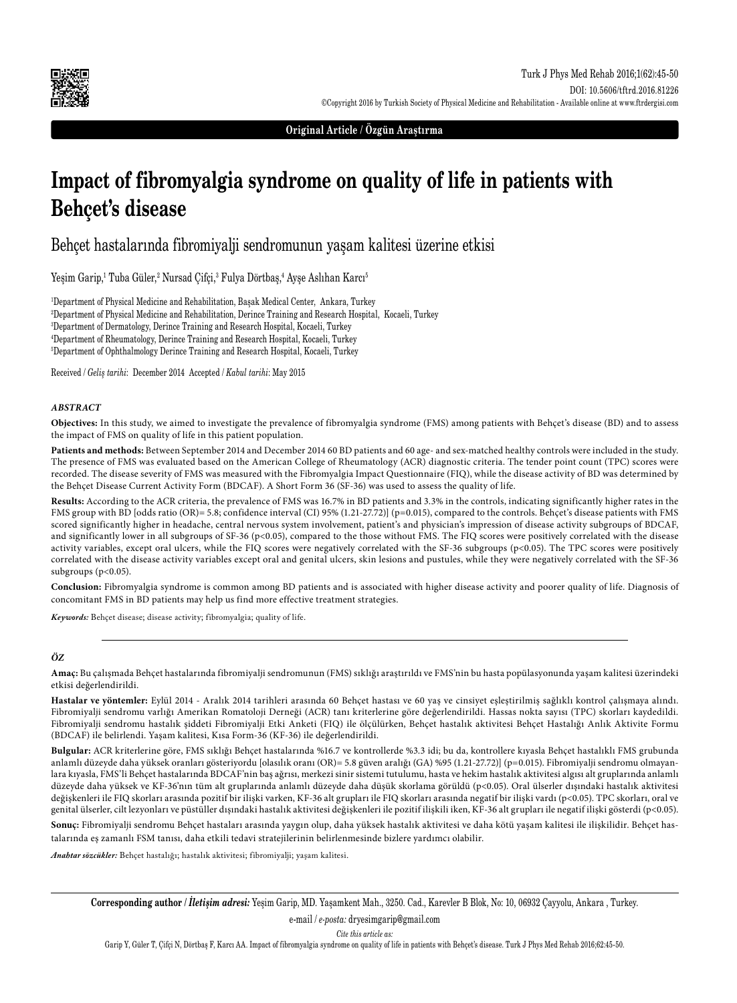

**Original Article / Özgün Araştırma**

# **Impact of fibromyalgia syndrome on quality of life in patients with Behçet's disease**

Behçet hastalarında fibromiyalji sendromunun yaşam kalitesi üzerine etkisi

Yeşim Garip,<sup>ı</sup> Tuba Güler,<sup>2</sup> Nursad Çifçi,<sup>3</sup> Fulya Dörtbaş,<sup>4</sup> Ayşe Aslıhan Karcı<sup>5</sup>

 Department of Physical Medicine and Rehabilitation, Başak Medical Center, Ankara, Turkey Department of Physical Medicine and Rehabilitation, Derince Training and Research Hospital, Kocaeli, Turkey Department of Dermatology, Derince Training and Research Hospital, Kocaeli, Turkey Department of Rheumatology, Derince Training and Research Hospital, Kocaeli, Turkey Department of Ophthalmology Derince Training and Research Hospital, Kocaeli, Turkey

Received / *Geliş tarihi*: December 2014 Accepted / *Kabul tarihi*: May 2015

#### *ABSTRACT*

**Objectives:** In this study, we aimed to investigate the prevalence of fibromyalgia syndrome (FMS) among patients with Behçet's disease (BD) and to assess the impact of FMS on quality of life in this patient population.

**Patients and methods:** Between September 2014 and December 2014 60 BD patients and 60 age- and sex-matched healthy controls were included in the study. The presence of FMS was evaluated based on the American College of Rheumatology (ACR) diagnostic criteria. The tender point count (TPC) scores were recorded. The disease severity of FMS was measured with the Fibromyalgia Impact Questionnaire (FIQ), while the disease activity of BD was determined by the Behçet Disease Current Activity Form (BDCAF). A Short Form 36 (SF-36) was used to assess the quality of life.

**Results:** According to the ACR criteria, the prevalence of FMS was 16.7% in BD patients and 3.3% in the controls, indicating significantly higher rates in the FMS group with BD [odds ratio (OR)= 5.8; confidence interval (CI) 95% (1.21-27.72)] (p=0.015), compared to the controls. Behçet's disease patients with FMS scored significantly higher in headache, central nervous system involvement, patient's and physician's impression of disease activity subgroups of BDCAF, and significantly lower in all subgroups of SF-36 (p<0.05), compared to the those without FMS. The FIQ scores were positively correlated with the disease activity variables, except oral ulcers, while the FIQ scores were negatively correlated with the SF-36 subgroups (p<0.05). The TPC scores were positively correlated with the disease activity variables except oral and genital ulcers, skin lesions and pustules, while they were negatively correlated with the SF-36 subgroups (p<0.05).

**Conclusion:** Fibromyalgia syndrome is common among BD patients and is associated with higher disease activity and poorer quality of life. Diagnosis of concomitant FMS in BD patients may help us find more effective treatment strategies.

*Keywords:* Behçet disease; disease activity; fibromyalgia; quality of life.

#### *ÖZ*

**Amaç:** Bu çalışmada Behçet hastalarında fibromiyalji sendromunun (FMS) sıklığı araştırıldı ve FMS'nin bu hasta popülasyonunda yaşam kalitesi üzerindeki etkisi değerlendirildi.

**Hastalar ve yöntemler:** Eylül 2014 - Aralık 2014 tarihleri arasında 60 Behçet hastası ve 60 yaş ve cinsiyet eşleştirilmiş sağlıklı kontrol çalışmaya alındı. Fibromiyalji sendromu varlığı Amerikan Romatoloji Derneği (ACR) tanı kriterlerine göre değerlendirildi. Hassas nokta sayısı (TPC) skorları kaydedildi. Fibromiyalji sendromu hastalık şiddeti Fibromiyalji Etki Anketi (FIQ) ile ölçülürken, Behçet hastalık aktivitesi Behçet Hastalığı Anlık Aktivite Formu (BDCAF) ile belirlendi. Yaşam kalitesi, Kısa Form-36 (KF-36) ile değerlendirildi.

**Bulgular:** ACR kriterlerine göre, FMS sıklığı Behçet hastalarında %16.7 ve kontrollerde %3.3 idi; bu da, kontrollere kıyasla Behçet hastalıklı FMS grubunda anlamlı düzeyde daha yüksek oranları gösteriyordu [olasılık oranı (OR)= 5.8 güven aralığı (GA) %95 (1.21-27.72)] (p=0.015). Fibromiyalji sendromu olmayanlara kıyasla, FMS'li Behçet hastalarında BDCAF'nin baş ağrısı, merkezi sinir sistemi tutulumu, hasta ve hekim hastalık aktivitesi algısı alt gruplarında anlamlı düzeyde daha yüksek ve KF-36'nın tüm alt gruplarında anlamlı düzeyde daha düşük skorlama görüldü (p<0.05). Oral ülserler dışındaki hastalık aktivitesi değişkenleri ile FIQ skorları arasında pozitif bir ilişki varken, KF-36 alt grupları ile FIQ skorları arasında negatif bir ilişki vardı (p<0.05). TPC skorları, oral ve genital ülserler, cilt lezyonları ve püstüller dışındaki hastalık aktivitesi değişkenleri ile pozitif ilişkili iken, KF-36 alt grupları ile negatif ilişki gösterdi (p<0.05).

**Sonuç:** Fibromiyalji sendromu Behçet hastaları arasında yaygın olup, daha yüksek hastalık aktivitesi ve daha kötü yaşam kalitesi ile ilişkilidir. Behçet hastalarında eş zamanlı FSM tanısı, daha etkili tedavi stratejilerinin belirlenmesinde bizlere yardımcı olabilir.

*Anahtar sözcükler:* Behçet hastalığı; hastalık aktivitesi; fibromiyalji; yaşam kalitesi.

**Corresponding author /** *İletişim adresi:* Yeşim Garip, MD. Yaşamkent Mah., 3250. Cad., Karevler B Blok, No: 10, 06932 Çayyolu, Ankara , Turkey.

e-mail / *e-posta:* dryesimgarip@gmail.com

*Cite this article as:*

Garip Y, Güler T, Çifçi N, Dörtbaş F, Karcı AA. Impact of fibromyalgia syndrome on quality of life in patients with Behçet's disease. Turk J Phys Med Rehab 2016;62:45-50.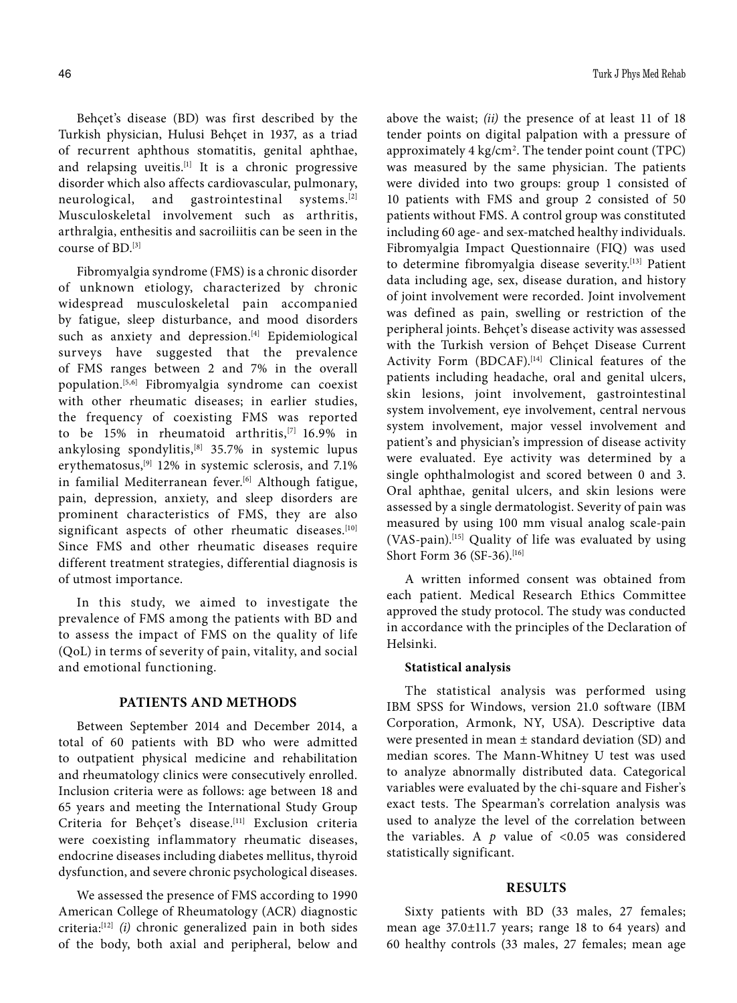Behçet's disease (BD) was first described by the Turkish physician, Hulusi Behçet in 1937, as a triad of recurrent aphthous stomatitis, genital aphthae, and relapsing uveitis.<sup>[1]</sup> It is a chronic progressive disorder which also affects cardiovascular, pulmonary, neurological, and gastrointestinal systems.[2] Musculoskeletal involvement such as arthritis, arthralgia, enthesitis and sacroiliitis can be seen in the course of BD.[3]

Fibromyalgia syndrome (FMS) is a chronic disorder of unknown etiology, characterized by chronic widespread musculoskeletal pain accompanied by fatigue, sleep disturbance, and mood disorders such as anxiety and depression.<sup>[4]</sup> Epidemiological surveys have suggested that the prevalence of FMS ranges between 2 and 7% in the overall population.[5,6] Fibromyalgia syndrome can coexist with other rheumatic diseases; in earlier studies, the frequency of coexisting FMS was reported to be 15% in rheumatoid arthritis,<sup>[7]</sup> 16.9% in ankylosing spondylitis,[8] 35.7% in systemic lupus erythematosus,[9] 12% in systemic sclerosis, and 7.1% in familial Mediterranean fever.<sup>[6]</sup> Although fatigue, pain, depression, anxiety, and sleep disorders are prominent characteristics of FMS, they are also significant aspects of other rheumatic diseases.<sup>[10]</sup> Since FMS and other rheumatic diseases require different treatment strategies, differential diagnosis is of utmost importance.

In this study, we aimed to investigate the prevalence of FMS among the patients with BD and to assess the impact of FMS on the quality of life (QoL) in terms of severity of pain, vitality, and social and emotional functioning.

## **PATIENTS AND METHODS**

Between September 2014 and December 2014, a total of 60 patients with BD who were admitted to outpatient physical medicine and rehabilitation and rheumatology clinics were consecutively enrolled. Inclusion criteria were as follows: age between 18 and 65 years and meeting the International Study Group Criteria for Behçet's disease.[11] Exclusion criteria were coexisting inflammatory rheumatic diseases, endocrine diseases including diabetes mellitus, thyroid dysfunction, and severe chronic psychological diseases.

We assessed the presence of FMS according to 1990 American College of Rheumatology (ACR) diagnostic criteria:[12] *(i)* chronic generalized pain in both sides of the body, both axial and peripheral, below and above the waist; *(ii)* the presence of at least 11 of 18 tender points on digital palpation with a pressure of approximately 4 kg/cm2 . The tender point count (TPC) was measured by the same physician. The patients were divided into two groups: group 1 consisted of 10 patients with FMS and group 2 consisted of 50 patients without FMS. A control group was constituted including 60 age- and sex-matched healthy individuals. Fibromyalgia Impact Questionnaire (FIQ) was used to determine fibromyalgia disease severity.[13] Patient data including age, sex, disease duration, and history of joint involvement were recorded. Joint involvement was defined as pain, swelling or restriction of the peripheral joints. Behçet's disease activity was assessed with the Turkish version of Behçet Disease Current Activity Form (BDCAF).<sup>[14]</sup> Clinical features of the patients including headache, oral and genital ulcers, skin lesions, joint involvement, gastrointestinal system involvement, eye involvement, central nervous system involvement, major vessel involvement and patient's and physician's impression of disease activity were evaluated. Eye activity was determined by a single ophthalmologist and scored between 0 and 3. Oral aphthae, genital ulcers, and skin lesions were assessed by a single dermatologist. Severity of pain was measured by using 100 mm visual analog scale-pain (VAS-pain).[15] Quality of life was evaluated by using Short Form 36 (SF-36).<sup>[16]</sup>

A written informed consent was obtained from each patient. Medical Research Ethics Committee approved the study protocol. The study was conducted in accordance with the principles of the Declaration of Helsinki.

#### **Statistical analysis**

The statistical analysis was performed using IBM SPSS for Windows, version 21.0 software (IBM Corporation, Armonk, NY, USA). Descriptive data were presented in mean ± standard deviation (SD) and median scores. The Mann-Whitney U test was used to analyze abnormally distributed data. Categorical variables were evaluated by the chi-square and Fisher's exact tests. The Spearman's correlation analysis was used to analyze the level of the correlation between the variables. A *p* value of <0.05 was considered statistically significant.

#### **RESULTS**

Sixty patients with BD (33 males, 27 females; mean age 37.0±11.7 years; range 18 to 64 years) and 60 healthy controls (33 males, 27 females; mean age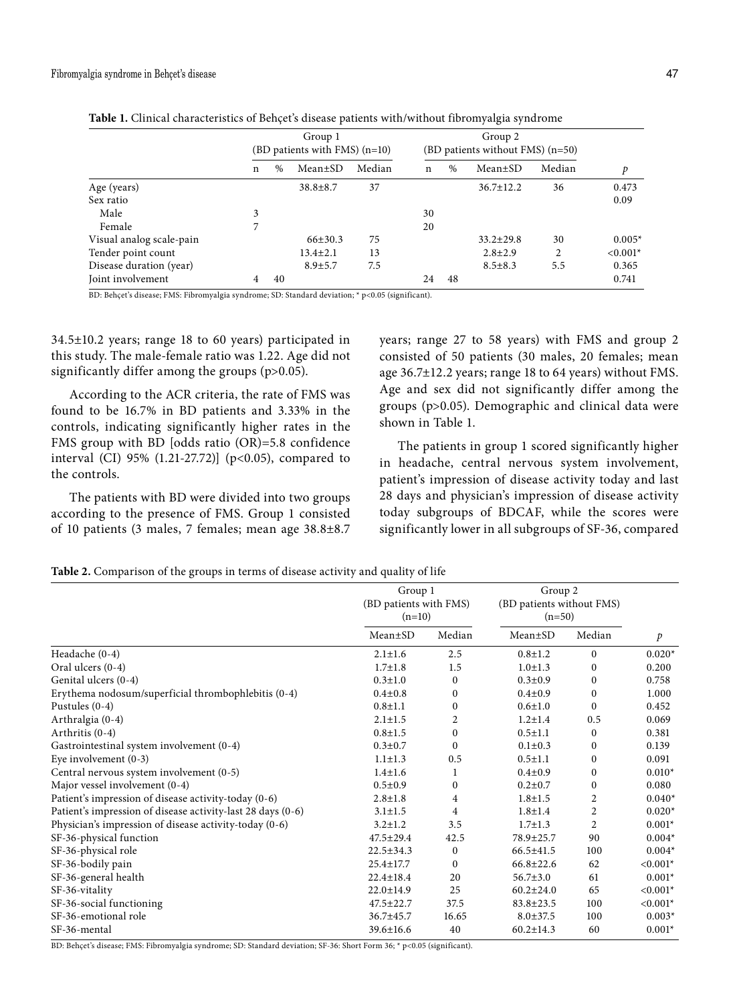|                          | Group 1<br>(BD patients with FMS) (n=10) |               |                |        | Group 2<br>(BD patients without FMS) (n=50) |    |                 |                |            |
|--------------------------|------------------------------------------|---------------|----------------|--------|---------------------------------------------|----|-----------------|----------------|------------|
|                          | n                                        | $\frac{0}{0}$ | Mean±SD        | Median | n                                           | %  | Mean±SD         | Median         | p          |
| Age (years)              |                                          |               | $38.8 \pm 8.7$ | 37     |                                             |    | $36.7 \pm 12.2$ | 36             | 0.473      |
| Sex ratio                |                                          |               |                |        |                                             |    |                 |                | 0.09       |
| Male                     | 3                                        |               |                |        | 30                                          |    |                 |                |            |
| Female                   | 7                                        |               |                |        | 20                                          |    |                 |                |            |
| Visual analog scale-pain |                                          |               | $66{\pm}30.3$  | 75     |                                             |    | $33.2 \pm 29.8$ | 30             | $0.005*$   |
| Tender point count       |                                          |               | $13.4 \pm 2.1$ | 13     |                                             |    | $2.8 \pm 2.9$   | $\overline{c}$ | $< 0.001*$ |
| Disease duration (year)  |                                          |               | $8.9 \pm 5.7$  | 7.5    |                                             |    | $8.5 \pm 8.3$   | 5.5            | 0.365      |
| Joint involvement        | 4                                        | 40            |                |        | 24                                          | 48 |                 |                | 0.741      |

**Table 1.** Clinical characteristics of Behçet's disease patients with/without fibromyalgia syndrome

BD: Behçet's disease; FMS: Fibromyalgia syndrome; SD: Standard deviation; \* p<0.05 (significant).

34.5±10.2 years; range 18 to 60 years) participated in this study. The male-female ratio was 1.22. Age did not significantly differ among the groups (p>0.05).

According to the ACR criteria, the rate of FMS was found to be 16.7% in BD patients and 3.33% in the controls, indicating significantly higher rates in the FMS group with BD [odds ratio (OR)=5.8 confidence interval (CI) 95% (1.21-27.72)] (p<0.05), compared to the controls.

The patients with BD were divided into two groups according to the presence of FMS. Group 1 consisted of 10 patients (3 males, 7 females; mean age 38.8±8.7 years; range 27 to 58 years) with FMS and group 2 consisted of 50 patients (30 males, 20 females; mean age 36.7±12.2 years; range 18 to 64 years) without FMS. Age and sex did not significantly differ among the groups (p>0.05). Demographic and clinical data were shown in Table 1.

The patients in group 1 scored significantly higher in headache, central nervous system involvement, patient's impression of disease activity today and last 28 days and physician's impression of disease activity today subgroups of BDCAF, while the scores were significantly lower in all subgroups of SF-36, compared

**Table 2.** Comparison of the groups in terms of disease activity and quality of life

|                                                             | Group 1<br>(BD patients with FMS)<br>$(n=10)$ |                  | Group 2<br>(BD patients without FMS)<br>$(n=50)$ |                |               |
|-------------------------------------------------------------|-----------------------------------------------|------------------|--------------------------------------------------|----------------|---------------|
|                                                             | $Mean \pm SD$                                 | Median           | $Mean \pm SD$                                    | Median         | $\mathcal{P}$ |
| Headache (0-4)                                              | $2.1 \pm 1.6$                                 | 2.5              | $0.8 \pm 1.2$                                    | $\mathbf{0}$   | $0.020*$      |
| Oral ulcers (0-4)                                           | $1.7 \pm 1.8$                                 | 1.5              | $1.0 \pm 1.3$                                    | $\Omega$       | 0.200         |
| Genital ulcers (0-4)                                        | $0.3 \pm 1.0$                                 | $\mathbf{0}$     | $0.3 \pm 0.9$                                    | $\mathbf{0}$   | 0.758         |
| Erythema nodosum/superficial thrombophlebitis (0-4)         | $0.4 + 0.8$                                   | $\bf{0}$         | $0.4 + 0.9$                                      | $\Omega$       | 1.000         |
| Pustules $(0-4)$                                            | $0.8 + 1.1$                                   | $\mathbf{0}$     | $0.6{\pm}1.0$                                    | $\Omega$       | 0.452         |
| Arthralgia (0-4)                                            | $2.1 \pm 1.5$                                 | $\overline{2}$   | $1.2 \pm 1.4$                                    | 0.5            | 0.069         |
| Arthritis (0-4)                                             | $0.8 + 1.5$                                   | $\boldsymbol{0}$ | $0.5 \pm 1.1$                                    | $\mathbf{0}$   | 0.381         |
| Gastrointestinal system involvement (0-4)                   | $0.3 \pm 0.7$                                 | $\mathbf{0}$     | $0.1 \pm 0.3$                                    | $\Omega$       | 0.139         |
| Eye involvement $(0-3)$                                     | $1.1 \pm 1.3$                                 | 0.5              | $0.5 \pm 1.1$                                    | $\Omega$       | 0.091         |
| Central nervous system involvement (0-5)                    | $1.4 \pm 1.6$                                 | 1                | $0.4 + 0.9$                                      | $\mathbf{0}$   | $0.010*$      |
| Major vessel involvement (0-4)                              | $0.5 \pm 0.9$                                 | $\mathbf{0}$     | $0.2 \pm 0.7$                                    | $\Omega$       | 0.080         |
| Patient's impression of disease activity-today (0-6)        | $2.8 \pm 1.8$                                 | $\overline{4}$   | $1.8 + 1.5$                                      | 2              | $0.040*$      |
| Patient's impression of disease activity-last 28 days (0-6) | $3.1 \pm 1.5$                                 | 4                | $1.8 + 1.4$                                      | 2              | $0.020*$      |
| Physician's impression of disease activity-today (0-6)      | $3.2 \pm 1.2$                                 | 3.5              | $1.7 \pm 1.3$                                    | $\overline{2}$ | $0.001*$      |
| SF-36-physical function                                     | $47.5 \pm 29.4$                               | 42.5             | 78.9±25.7                                        | 90             | $0.004*$      |
| SF-36-physical role                                         | $22.5 \pm 34.3$                               | $\mathbf{0}$     | $66.5 \pm 41.5$                                  | 100            | $0.004*$      |
| SF-36-bodily pain                                           | $25.4 \pm 17.7$                               | $\mathbf{0}$     | $66.8 \pm 22.6$                                  | 62             | $< 0.001*$    |
| SF-36-general health                                        | $22.4 \pm 18.4$                               | 20               | $56.7 \pm 3.0$                                   | 61             | $0.001*$      |
| SF-36-vitality                                              | $22.0 \pm 14.9$                               | 25               | $60.2 \pm 24.0$                                  | 65             | $< 0.001*$    |
| SF-36-social functioning                                    | 47.5±22.7                                     | 37.5             | $83.8 \pm 23.5$                                  | 100            | $< 0.001*$    |
| SF-36-emotional role                                        | 36.7±45.7                                     | 16.65            | $8.0 \pm 37.5$                                   | 100            | $0.003*$      |
| SF-36-mental                                                | 39.6±16.6                                     | 40               | $60.2 \pm 14.3$                                  | 60             | $0.001*$      |

BD: Behçet's disease; FMS: Fibromyalgia syndrome; SD: Standard deviation; SF-36: Short Form 36; \* p<0.05 (significant).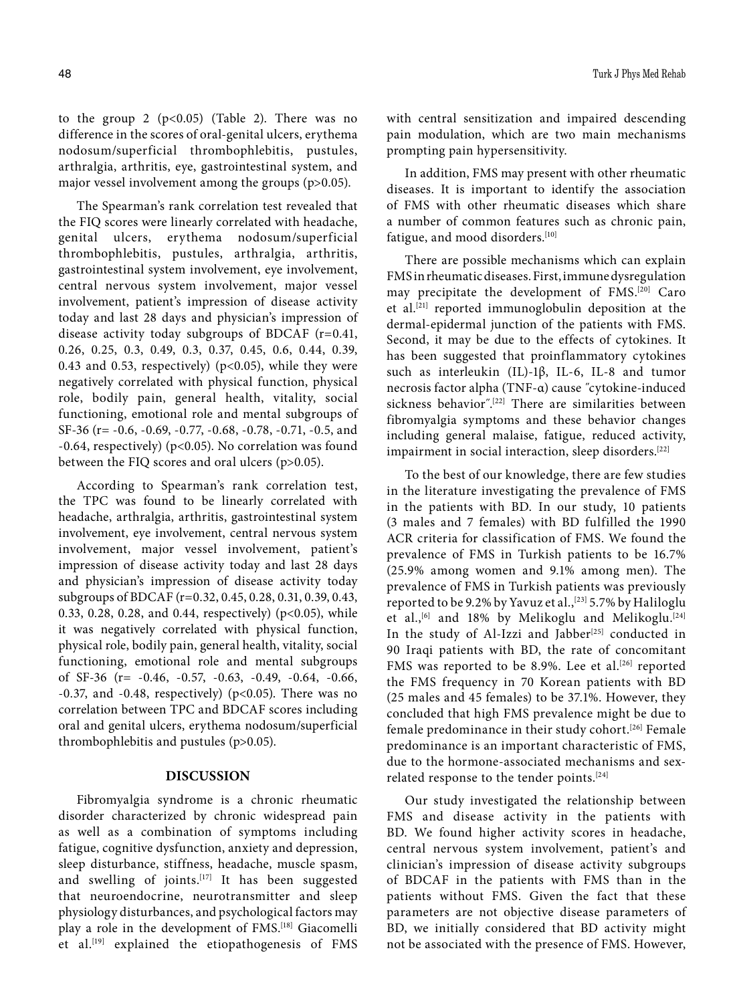to the group 2  $(p<0.05)$  (Table 2). There was no difference in the scores of oral-genital ulcers, erythema nodosum/superficial thrombophlebitis, pustules, arthralgia, arthritis, eye, gastrointestinal system, and major vessel involvement among the groups (p>0.05).

The Spearman's rank correlation test revealed that the FIQ scores were linearly correlated with headache, genital ulcers, erythema nodosum/superficial thrombophlebitis, pustules, arthralgia, arthritis, gastrointestinal system involvement, eye involvement, central nervous system involvement, major vessel involvement, patient's impression of disease activity today and last 28 days and physician's impression of disease activity today subgroups of BDCAF (r=0.41, 0.26, 0.25, 0.3, 0.49, 0.3, 0.37, 0.45, 0.6, 0.44, 0.39, 0.43 and 0.53, respectively) ( $p$ <0.05), while they were negatively correlated with physical function, physical role, bodily pain, general health, vitality, social functioning, emotional role and mental subgroups of SF-36 (r= -0.6, -0.69, -0.77, -0.68, -0.78, -0.71, -0.5, and -0.64, respectively) (p<0.05). No correlation was found between the FIQ scores and oral ulcers (p>0.05).

According to Spearman's rank correlation test, the TPC was found to be linearly correlated with headache, arthralgia, arthritis, gastrointestinal system involvement, eye involvement, central nervous system involvement, major vessel involvement, patient's impression of disease activity today and last 28 days and physician's impression of disease activity today subgroups of BDCAF (r=0.32, 0.45, 0.28, 0.31, 0.39, 0.43, 0.33, 0.28, 0.28, and 0.44, respectively) (p<0.05), while it was negatively correlated with physical function, physical role, bodily pain, general health, vitality, social functioning, emotional role and mental subgroups of SF-36 (r= -0.46, -0.57, -0.63, -0.49, -0.64, -0.66, -0.37, and -0.48, respectively) ( $p$ <0.05). There was no correlation between TPC and BDCAF scores including oral and genital ulcers, erythema nodosum/superficial thrombophlebitis and pustules (p>0.05).

## **DISCUSSION**

Fibromyalgia syndrome is a chronic rheumatic disorder characterized by chronic widespread pain as well as a combination of symptoms including fatigue, cognitive dysfunction, anxiety and depression, sleep disturbance, stiffness, headache, muscle spasm, and swelling of joints.<sup>[17]</sup> It has been suggested that neuroendocrine, neurotransmitter and sleep physiology disturbances, and psychological factors may play a role in the development of FMS.[18] Giacomelli et al.<sup>[19]</sup> explained the etiopathogenesis of FMS with central sensitization and impaired descending pain modulation, which are two main mechanisms prompting pain hypersensitivity.

In addition, FMS may present with other rheumatic diseases. It is important to identify the association of FMS with other rheumatic diseases which share a number of common features such as chronic pain, fatigue, and mood disorders.<sup>[10]</sup>

There are possible mechanisms which can explain FMS in rheumatic diseases. First, immune dysregulation may precipitate the development of FMS.[20] Caro et al.[21] reported immunoglobulin deposition at the dermal-epidermal junction of the patients with FMS. Second, it may be due to the effects of cytokines. It has been suggested that proinflammatory cytokines such as interleukin (IL)-1β, IL-6, IL-8 and tumor necrosis factor alpha (TNF-α) cause ˝cytokine-induced sickness behavior˝. [22] There are similarities between fibromyalgia symptoms and these behavior changes including general malaise, fatigue, reduced activity, impairment in social interaction, sleep disorders.<sup>[22]</sup>

To the best of our knowledge, there are few studies in the literature investigating the prevalence of FMS in the patients with BD. In our study, 10 patients (3 males and 7 females) with BD fulfilled the 1990 ACR criteria for classification of FMS. We found the prevalence of FMS in Turkish patients to be 16.7% (25.9% among women and 9.1% among men). The prevalence of FMS in Turkish patients was previously reported to be 9.2% by Yavuz et al.,<sup>[23]</sup> 5.7% by Haliloglu et al.,<sup>[6]</sup> and 18% by Melikoglu and Melikoglu.<sup>[24]</sup> In the study of Al-Izzi and Jabber<sup>[25]</sup> conducted in 90 Iraqi patients with BD, the rate of concomitant FMS was reported to be 8.9%. Lee et al.<sup>[26]</sup> reported the FMS frequency in 70 Korean patients with BD (25 males and 45 females) to be 37.1%. However, they concluded that high FMS prevalence might be due to female predominance in their study cohort.[26] Female predominance is an important characteristic of FMS, due to the hormone-associated mechanisms and sexrelated response to the tender points.<sup>[24]</sup>

Our study investigated the relationship between FMS and disease activity in the patients with BD. We found higher activity scores in headache, central nervous system involvement, patient's and clinician's impression of disease activity subgroups of BDCAF in the patients with FMS than in the patients without FMS. Given the fact that these parameters are not objective disease parameters of BD, we initially considered that BD activity might not be associated with the presence of FMS. However,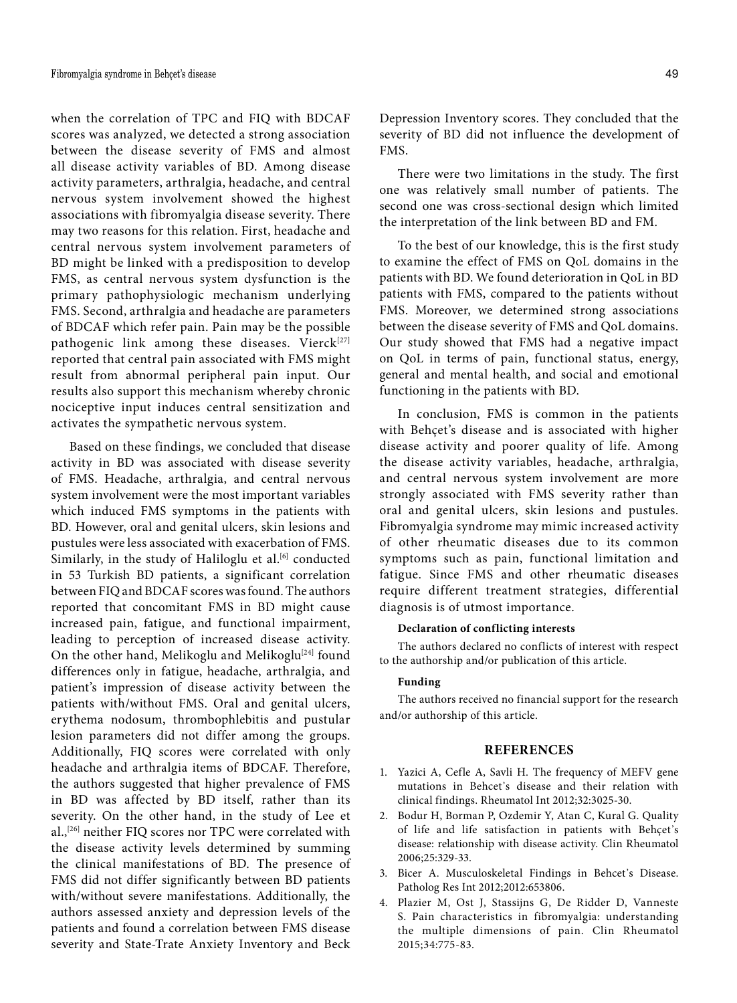when the correlation of TPC and FIQ with BDCAF scores was analyzed, we detected a strong association between the disease severity of FMS and almost all disease activity variables of BD. Among disease activity parameters, arthralgia, headache, and central nervous system involvement showed the highest associations with fibromyalgia disease severity. There may two reasons for this relation. First, headache and central nervous system involvement parameters of BD might be linked with a predisposition to develop FMS, as central nervous system dysfunction is the primary pathophysiologic mechanism underlying FMS. Second, arthralgia and headache are parameters of BDCAF which refer pain. Pain may be the possible pathogenic link among these diseases. Vierck<sup>[27]</sup> reported that central pain associated with FMS might result from abnormal peripheral pain input. Our results also support this mechanism whereby chronic nociceptive input induces central sensitization and activates the sympathetic nervous system.

Based on these findings, we concluded that disease activity in BD was associated with disease severity of FMS. Headache, arthralgia, and central nervous system involvement were the most important variables which induced FMS symptoms in the patients with BD. However, oral and genital ulcers, skin lesions and pustules were less associated with exacerbation of FMS. Similarly, in the study of Haliloglu et al.<sup>[6]</sup> conducted in 53 Turkish BD patients, a significant correlation between FIQ and BDCAF scores was found. The authors reported that concomitant FMS in BD might cause increased pain, fatigue, and functional impairment, leading to perception of increased disease activity. On the other hand, Melikoglu and Melikoglu<sup>[24]</sup> found differences only in fatigue, headache, arthralgia, and patient's impression of disease activity between the patients with/without FMS. Oral and genital ulcers, erythema nodosum, thrombophlebitis and pustular lesion parameters did not differ among the groups. Additionally, FIQ scores were correlated with only headache and arthralgia items of BDCAF. Therefore, the authors suggested that higher prevalence of FMS in BD was affected by BD itself, rather than its severity. On the other hand, in the study of Lee et al.,<sup>[26]</sup> neither FIQ scores nor TPC were correlated with the disease activity levels determined by summing the clinical manifestations of BD. The presence of FMS did not differ significantly between BD patients with/without severe manifestations. Additionally, the authors assessed anxiety and depression levels of the patients and found a correlation between FMS disease severity and State-Trate Anxiety Inventory and Beck

Depression Inventory scores. They concluded that the severity of BD did not influence the development of FMS.

There were two limitations in the study. The first one was relatively small number of patients. The second one was cross-sectional design which limited the interpretation of the link between BD and FM.

To the best of our knowledge, this is the first study to examine the effect of FMS on QoL domains in the patients with BD. We found deterioration in QoL in BD patients with FMS, compared to the patients without FMS. Moreover, we determined strong associations between the disease severity of FMS and QoL domains. Our study showed that FMS had a negative impact on QoL in terms of pain, functional status, energy, general and mental health, and social and emotional functioning in the patients with BD.

In conclusion, FMS is common in the patients with Behçet's disease and is associated with higher disease activity and poorer quality of life. Among the disease activity variables, headache, arthralgia, and central nervous system involvement are more strongly associated with FMS severity rather than oral and genital ulcers, skin lesions and pustules. Fibromyalgia syndrome may mimic increased activity of other rheumatic diseases due to its common symptoms such as pain, functional limitation and fatigue. Since FMS and other rheumatic diseases require different treatment strategies, differential diagnosis is of utmost importance.

## **Declaration of conflicting interests**

The authors declared no conflicts of interest with respect to the authorship and/or publication of this article.

### **Funding**

The authors received no financial support for the research and/or authorship of this article.

### **REFERENCES**

- 1. Yazici A, Cefle A, Savli H. The frequency of MEFV gene mutations in Behcet's disease and their relation with clinical findings. Rheumatol Int 2012;32:3025-30.
- 2. Bodur H, Borman P, Ozdemir Y, Atan C, Kural G. Quality of life and life satisfaction in patients with Behçet᾿s disease: relationship with disease activity. Clin Rheumatol 2006;25:329-33.
- 3. Bicer A. Musculoskeletal Findings in Behcet's Disease. Patholog Res Int 2012;2012:653806.
- 4. Plazier M, Ost J, Stassijns G, De Ridder D, Vanneste S. Pain characteristics in fibromyalgia: understanding the multiple dimensions of pain. Clin Rheumatol 2015;34:775-83.